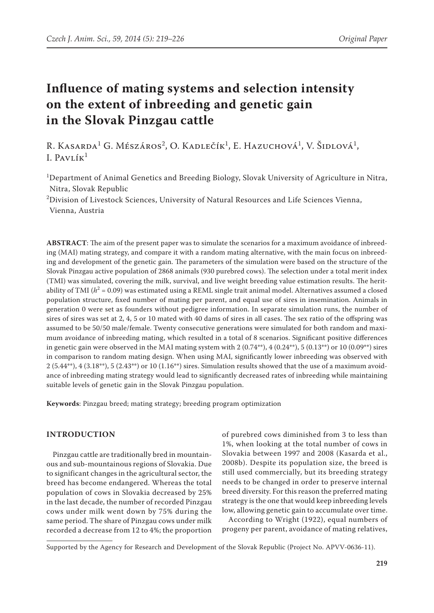# **Influence of mating systems and selection intensity on the extent of inbreeding and genetic gain in the Slovak Pinzgau cattle**

R. Kasarda<sup>1</sup> G. Mészáros<sup>2</sup>, O. Kadlečík<sup>1</sup>, E. Hazuchová<sup>1</sup>, V. Šidlová<sup>1</sup>, I. PAVLÍ $\kappa^1$ 

<sup>1</sup>Department of Animal Genetics and Breeding Biology, Slovak University of Agriculture in Nitra, Nitra, Slovak Republic

<sup>2</sup>Division of Livestock Sciences, University of Natural Resources and Life Sciences Vienna, Vienna, Austria

**ABSTRACT**: The aim of the present paper was to simulate the scenarios for a maximum avoidance of inbreeding (MAI) mating strategy, and compare it with a random mating alternative, with the main focus on inbreeding and development of the genetic gain. The parameters of the simulation were based on the structure of the Slovak Pinzgau active population of 2868 animals (930 purebred cows). The selection under a total merit index (TMI) was simulated, covering the milk, survival, and live weight breeding value estimation results. The heritability of TMI ( $h^2$  = 0.09) was estimated using a REML single trait animal model. Alternatives assumed a closed population structure, fixed number of mating per parent, and equal use of sires in insemination. Animals in generation 0 were set as founders without pedigree information. In separate simulation runs, the number of sires of sires was set at 2, 4, 5 or 10 mated with 40 dams of sires in all cases. The sex ratio of the offspring was assumed to be 50/50 male/female. Twenty consecutive generations were simulated for both random and maximum avoidance of inbreeding mating, which resulted in a total of 8 scenarios. Significant positive differences in genetic gain were observed in the MAI mating system with  $2(0.74^{**})$ ,  $4(0.24^{**})$ ,  $5(0.13^{**})$  or  $10(0.09^{**})$  sires in comparison to random mating design. When using MAI, significantly lower inbreeding was observed with  $2(5.44^{**})$ ,  $4(3.18^{**})$ ,  $5(2.43^{**})$  or  $10(1.16^{**})$  sires. Simulation results showed that the use of a maximum avoidance of inbreeding mating strategy would lead to significantly decreased rates of inbreeding while maintaining suitable levels of genetic gain in the Slovak Pinzgau population.

**Keywords**: Pinzgau breed; mating strategy; breeding program optimization

## **INTRODUCTION**

Pinzgau cattle are traditionally bred in mountainous and sub-mountainous regions of Slovakia. Due to significant changes in the agricultural sector, the breed has become endangered. Whereas the total population of cows in Slovakia decreased by 25% in the last decade, the number of recorded Pinzgau cows under milk went down by 75% during the same period. The share of Pinzgau cows under milk recorded a decrease from 12 to 4%; the proportion

of purebred cows diminished from 3 to less than 1%, when looking at the total number of cows in Slovakia between 1997 and 2008 (Kasarda et al., 2008b). Despite its population size, the breed is still used commercially, but its breeding strategy needs to be changed in order to preserve internal breed diversity. For this reason the preferred mating strategy is the one that would keep inbreeding levels low, allowing genetic gain to accumulate over time.

According to Wright (1922), equal numbers of progeny per parent, avoidance of mating relatives,

Supported by the Agency for Research and Development of the Slovak Republic (Project No. APVV-0636-11).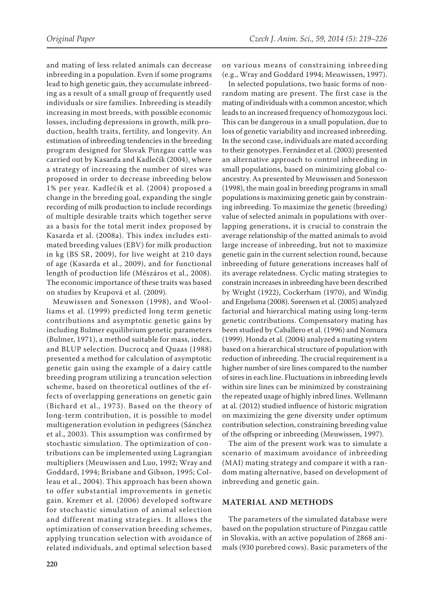and mating of less related animals can decrease inbreeding in a population. Even if some programs lead to high genetic gain, they accumulate inbreeding as a result of a small group of frequently used individuals or sire families. Inbreeding is steadily increasing in most breeds, with possible economic losses, including depressions in growth, milk production, health traits, fertility, and longevity. An estimation of inbreeding tendencies in the breeding program designed for Slovak Pinzgau cattle was carried out by Kasarda and Kadlečík (2004), where a strategy of increasing the number of sires was proposed in order to decrease inbreeding below 1% per year. Kadlečík et al. (2004) proposed a change in the breeding goal, expanding the single recording of milk production to include recordings of multiple desirable traits which together serve as a basis for the total merit index proposed by Kasarda et al. (2008a). This index includes estimated breeding values (EBV) for milk production in kg (BS SR, 2009), for live weight at 210 days of age (Kasarda et al., 2009), and for functional length of production life (Mészáros et al., 2008). The economic importance of these traits was based on studies by Krupová et al. (2009).

Meuwissen and Sonesson (1998), and Woolliams et al. (1999) predicted long term genetic contributions and asymptotic genetic gains by including Bulmer equilibrium genetic parameters (Bulmer, 1971), a method suitable for mass, index, and BLUP selection. Ducrocq and Quaas (1988) presented a method for calculation of asymptotic genetic gain using the example of a dairy cattle breeding program utilizing a truncation selection scheme, based on theoretical outlines of the effects of overlapping generations on genetic gain (Bichard et al., 1973). Based on the theory of long-term contribution, it is possible to model multigeneration evolution in pedigrees (Sánchez et al., 2003). This assumption was confirmed by stochastic simulation. The optimization of contributions can be implemented using Lagrangian multipliers (Meuwissen and Luo, 1992; Wray and Goddard, 1994; Brisbane and Gibson, 1995; Colleau et al., 2004). This approach has been shown to offer substantial improvements in genetic gain. Kremer et al. (2006) developed software for stochastic simulation of animal selection and different mating strategies. It allows the optimization of conservation breeding schemes, applying truncation selection with avoidance of related individuals, and optimal selection based on various means of constraining inbreeding (e.g., Wray and Goddard 1994; Meuwissen, 1997).

In selected populations, two basic forms of nonrandom mating are present. The first case is the mating of individuals with a common ancestor, which leads to an increased frequency of homozygous loci. This can be dangerous in a small population, due to loss of genetic variability and increased inbreeding. In the second case, individuals are mated according to their genotypes. Fernández et al. (2003) presented an alternative approach to control inbreeding in small populations, based on minimizing global coancestry. As presented by Meuwissen and Sonesson (1998), the main goal in breeding programs in small populations is maximizing genetic gain by constraining inbreeding. To maximize the genetic (breeding) value of selected animals in populations with overlapping generations, it is crucial to constrain the average relationship of the matted animals to avoid large increase of inbreeding, but not to maximize genetic gain in the current selection round, because inbreeding of future generations increases half of its average relatedness. Cyclic mating strategies to constrain increases in inbreeding have been described by Wright (1922), Cockerham (1970), and Windig and Engelsma (2008). Sørensen et al. (2005) analyzed factorial and hierarchical mating using long-term genetic contributions. Compensatory mating has been studied by Caballero et al. (1996) and Nomura (1999). Honda et al. (2004) analyzed a mating system based on a hierarchical structure of population with reduction of inbreeding. The crucial requirement is a higher number of sire lines compared to the number of sires in each line. Fluctuations in inbreeding levels within sire lines can be minimized by constraining the repeated usage of highly inbred lines. Wellmann at al. (2012) studied influence of historic migration on maximizing the gene diversity under optimum contribution selection, constraining breeding value of the offspring or inbreeding (Meuwissen, 1997)*.* 

The aim of the present work was to simulate a scenario of maximum avoidance of inbreeding (MAI) mating strategy and compare it with a random mating alternative, based on development of inbreeding and genetic gain.

#### **MATERIAL AND METHODS**

The parameters of the simulated database were based on the population structure of Pinzgau cattle in Slovakia, with an active population of 2868 animals (930 purebred cows). Basic parameters of the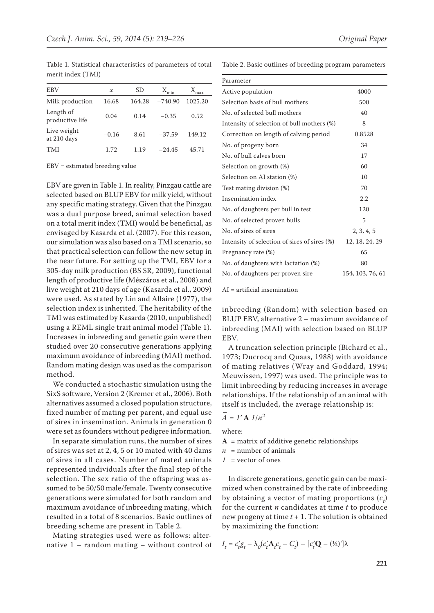Table 1. Statistical characteristics of parameters of total merit index (TMI)

| EBV                          | х       | SD     | X.<br>min | max     |
|------------------------------|---------|--------|-----------|---------|
| Milk production              | 16.68   | 164.28 | $-740.90$ | 1025.20 |
| Length of<br>productive life | 0.04    | 0.14   | $-0.35$   | 0.52    |
| Live weight<br>at 210 days   | $-0.16$ | 8.61   | $-37.59$  | 149.12  |
| TMI                          | 1.72    | 1.19   | $-24.45$  | 45.71   |
|                              |         |        |           |         |

EBV = estimated breeding value

EBV are given in Table 1. In reality, Pinzgau cattle are selected based on BLUP EBV for milk yield, without any specific mating strategy. Given that the Pinzgau was a dual purpose breed, animal selection based on a total merit index (TMI) would be beneficial, as envisaged by Kasarda et al. (2007). For this reason, our simulation was also based on a TMI scenario, so that practical selection can follow the new setup in the near future. For setting up the TMI, EBV for a 305-day milk production (BS SR, 2009), functional length of productive life (Mészáros et al., 2008) and live weight at 210 days of age (Kasarda et al., 2009) were used. As stated by Lin and Allaire (1977), the selection index is inherited. The heritability of the TMI was estimated by Kasarda (2010, unpublished) using a REML single trait animal model (Table 1). Increases in inbreeding and genetic gain were then studied over 20 consecutive generations applying maximum avoidance of inbreeding (MAI) method. Random mating design was used as the comparison method.

We conducted a stochastic simulation using the SixS software, Version 2 (Kremer et al., 2006). Both alternatives assumed a closed population structure, fixed number of mating per parent, and equal use of sires in insemination. Animals in generation 0 were set as founders without pedigree information.

In separate simulation runs, the number of sires of sires was set at 2, 4, 5 or 10 mated with 40 dams of sires in all cases. Number of mated animals represented individuals after the final step of the selection. The sex ratio of the offspring was assumed to be 50/50 male/female. Twenty consecutive generations were simulated for both random and maximum avoidance of inbreeding mating, which resulted in a total of 8 scenarios. Basic outlines of breeding scheme are present in Table 2.

Mating strategies used were as follows: alternative 1 – random mating – without control of Table 2. Basic outlines of breeding program parameters

| Parameter                                    |                  |
|----------------------------------------------|------------------|
| Active population                            | 4000             |
| Selection basis of bull mothers              | 500              |
| No. of selected bull mothers                 | 40               |
| Intensity of selection of bull mothers (%)   | 8                |
| Correction on length of calving period       | 0.8528           |
| No. of progeny born                          | 34               |
| No. of bull calves born                      | 17               |
| Selection on growth (%)                      | 60               |
| Selection on AI station (%)                  | 10               |
| Test mating division (%)                     | 70               |
| Insemination index                           | 2.2              |
| No. of daughters per bull in test            | 120              |
| No. of selected proven bulls                 | 5                |
| No. of sires of sires                        | 2, 3, 4, 5       |
| Intensity of selection of sires of sires (%) | 12, 18, 24, 29   |
| Pregnancy rate (%)                           | 65               |
| No. of daughters with lactation (%)          | 80               |
| No. of daughters per proven sire             | 154, 103, 76, 61 |

AI = artificial insemination

inbreeding (Random) with selection based on BLUP EBV, alternative 2 – maximum avoidance of inbreeding (MAI) with selection based on BLUP EBV.

A truncation selection principle (Bichard et al., 1973; Ducrocq and Quaas, 1988) with avoidance of mating relatives (Wray and Goddard, 1994; Meuwissen, 1997) was used. The principle was to limit inbreeding by reducing increases in average relationships. If the relationship of an animal with itself is included, the average relationship is:

# $\overline{A} = I' \mathbf{A} \cdot 1/n^2$

where:

 $A =$  matrix of additive genetic relationships

- $n =$  number of animals
- *1* = vector of ones

In discrete generations, genetic gain can be maximized when constrained by the rate of inbreeding by obtaining a vector of mating proportions  $(c_t)$ for the current *n* candidates at time *t* to produce new progeny at time *t* + 1. The solution is obtained by maximizing the function:

$$
I_t = c_t' g_t - \lambda_0 (c_t' \mathbf{A}_t c_t - C_t) - [c_t' \mathbf{Q} - (1/2)'] \lambda
$$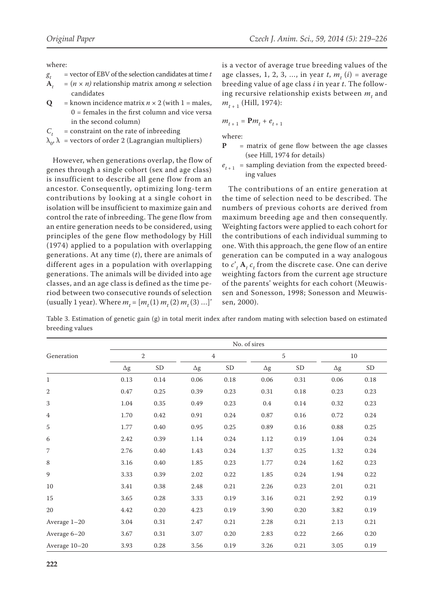where:

- 
- *g<sub>t</sub>* = vector of EBV of the selection candidates at time *t*<br> $\mathbf{A}_t = (n \times n)$  relationship matrix among *n* selection  $=(n \times n)$  relationship matrix among *n* selection candidates
- **Q** = known incidence matrix  $n \times 2$  (with 1 = males,  $0 =$  females in the first column and vice versa in the second column)
- $C_t$  = constraint on the rate of inbreeding
- $\lambda_{0}$ ,  $\lambda$  = vectors of order 2 (Lagrangian multipliers)

However, when generations overlap, the flow of genes through a single cohort (sex and age class) is insufficient to describe all gene flow from an ancestor. Consequently, optimizing long-term contributions by looking at a single cohort in isolation will be insufficient to maximize gain and control the rate of inbreeding. The gene flow from an entire generation needs to be considered, using principles of the gene flow methodology by Hill (1974) applied to a population with overlapping generations. At any time (*t*), there are animals of different ages in a population with overlapping generations. The animals will be divided into age classes, and an age class is defined as the time period between two consecutive rounds of selection (usually 1 year). Where  $m_t = [m_t(1) m_t(2) m_t(3) ...]$  is a vector of average true breeding values of the age classes, 1, 2, 3, ..., in year  $t$ ,  $m_t$   $(i)$  = average breeding value of age class *i* in year *t*. The following recursive relationship exists between  $m_t$  and  $m_{t+1}$  (Hill, 1974):

$$
m_{t+1} = \mathbf{P}m_t + e_{t+1}
$$

where:

- **P** = matrix of gene flow between the age classes (see Hill, 1974 for details)
- $e_{t+1}$  = sampling deviation from the expected breeding values

The contributions of an entire generation at the time of selection need to be described. The numbers of previous cohorts are derived from maximum breeding age and then consequently. Weighting factors were applied to each cohort for the contributions of each individual summing to one. With this approach, the gene flow of an entire generation can be computed in a way analogous to  $c'$ <sub>t</sub>  $A_t$   $c_t$  from the discrete case. One can derive weighting factors from the current age structure of the parents' weights for each cohort (Meuwissen and Sonesson, 1998; Sonesson and Meuwissen, 2000).

Table 3. Estimation of genetic gain (g) in total merit index after random mating with selection based on estimated breeding values

|                | No. of sires |              |            |                |            |           |            |           |  |
|----------------|--------------|--------------|------------|----------------|------------|-----------|------------|-----------|--|
| Generation     |              | $\mathbf{2}$ |            | $\overline{4}$ |            | 5         |            | 10        |  |
|                | $\Delta g$   | <b>SD</b>    | $\Delta g$ | <b>SD</b>      | $\Delta g$ | <b>SD</b> | $\Delta g$ | <b>SD</b> |  |
| $\mathbf{1}$   | 0.13         | 0.14         | 0.06       | 0.18           | 0.06       | 0.31      | 0.06       | 0.18      |  |
| $\overline{2}$ | 0.47         | 0.25         | 0.39       | 0.23           | 0.31       | 0.18      | 0.23       | 0.23      |  |
| 3              | 1.04         | 0.35         | 0.49       | 0.23           | 0.4        | 0.14      | 0.32       | 0.23      |  |
| $\overline{4}$ | 1.70         | 0.42         | 0.91       | 0.24           | 0.87       | 0.16      | 0.72       | 0.24      |  |
| 5              | 1.77         | 0.40         | 0.95       | 0.25           | 0.89       | 0.16      | 0.88       | 0.25      |  |
| 6              | 2.42         | 0.39         | 1.14       | 0.24           | 1.12       | 0.19      | 1.04       | 0.24      |  |
| $\overline{7}$ | 2.76         | 0.40         | 1.43       | 0.24           | 1.37       | 0.25      | 1.32       | 0.24      |  |
| $\,8\,$        | 3.16         | 0.40         | 1.85       | 0.23           | 1.77       | 0.24      | 1.62       | 0.23      |  |
| 9              | 3.33         | 0.39         | 2.02       | 0.22           | 1.85       | 0.24      | 1.94       | 0.22      |  |
| 10             | 3.41         | 0.38         | 2.48       | 0.21           | 2.26       | 0.23      | 2.01       | 0.21      |  |
| 15             | 3.65         | 0.28         | 3.33       | 0.19           | 3.16       | 0.21      | 2.92       | 0.19      |  |
| 20             | 4.42         | 0.20         | 4.23       | 0.19           | 3.90       | 0.20      | 3.82       | 0.19      |  |
| Average $1-20$ | 3.04         | 0.31         | 2.47       | 0.21           | 2.28       | 0.21      | 2.13       | 0.21      |  |
| Average 6-20   | 3.67         | $0.31\,$     | 3.07       | 0.20           | 2.83       | 0.22      | 2.66       | $0.20\,$  |  |
| Average 10-20  | 3.93         | 0.28         | 3.56       | 0.19           | 3.26       | 0.21      | 3.05       | 0.19      |  |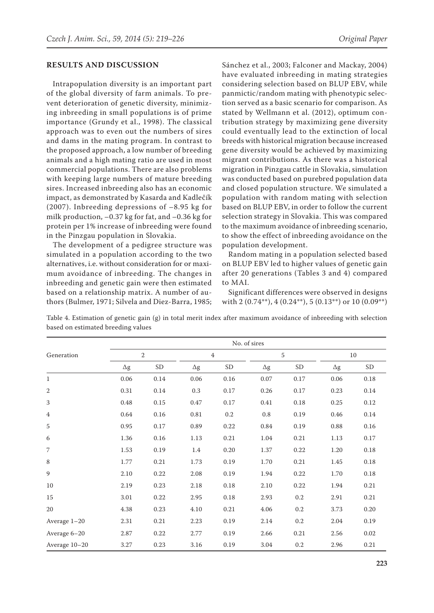### **RESULTS AND DISCUSSION**

Intrapopulation diversity is an important part of the global diversity of farm animals. To prevent deterioration of genetic diversity, minimizing inbreeding in small populations is of prime importance (Grundy et al., 1998). The classical approach was to even out the numbers of sires and dams in the mating program. In contrast to the proposed approach, a low number of breeding animals and a high mating ratio are used in most commercial populations. There are also problems with keeping large numbers of mature breeding sires. Increased inbreeding also has an economic impact, as demonstrated by Kasarda and Kadlečík (2007). Inbreeding depressions of –8.95 kg for milk production, –0.37 kg for fat, and –0.36 kg for protein per 1% increase of inbreeding were found in the Pinzgau population in Slovakia.

The development of a pedigree structure was simulated in a population according to the two alternatives, i.e. without consideration for or maximum avoidance of inbreeding. The changes in inbreeding and genetic gain were then estimated based on a relationship matrix. A number of authors (Bulmer, 1971; Silvela and Diez-Barra, 1985; Sánchez et al., 2003; Falconer and Mackay, 2004) have evaluated inbreeding in mating strategies considering selection based on BLUP EBV, while panmictic/random mating with phenotypic selection served as a basic scenario for comparison. As stated by Wellmann et al. (2012), optimum contribution strategy by maximizing gene diversity could eventually lead to the extinction of local breeds with historical migration because increased gene diversity would be achieved by maximizing migrant contributions. As there was a historical migration in Pinzgau cattle in Slovakia, simulation was conducted based on purebred population data and closed population structure. We simulated a population with random mating with selection based on BLUP EBV, in order to follow the current selection strategy in Slovakia. This was compared to the maximum avoidance of inbreeding scenario, to show the effect of inbreeding avoidance on the population development.

Random mating in a population selected based on BLUP EBV led to higher values of genetic gain after 20 generations (Tables 3 and 4) compared to MAI.

Significant differences were observed in designs with  $2(0.74^{**}), 4(0.24^{**}), 5(0.13^{**})$  or  $10(0.09^{**})$ 

Table 4. Estimation of genetic gain (g) in total merit index after maximum avoidance of inbreeding with selection based on estimated breeding values

|                | No. of sires   |           |                |           |            |           |            |           |  |
|----------------|----------------|-----------|----------------|-----------|------------|-----------|------------|-----------|--|
| Generation     | $\overline{2}$ |           | $\overline{4}$ |           | 5          |           | $10\,$     |           |  |
|                | $\Delta g$     | <b>SD</b> | $\Delta g$     | <b>SD</b> | $\Delta g$ | <b>SD</b> | $\Delta g$ | <b>SD</b> |  |
| $\mathbf{1}$   | 0.06           | 0.14      | 0.06           | 0.16      | 0.07       | 0.17      | 0.06       | 0.18      |  |
| 2              | 0.31           | 0.14      | 0.3            | 0.17      | 0.26       | 0.17      | 0.23       | 0.14      |  |
| 3              | 0.48           | 0.15      | 0.47           | 0.17      | 0.41       | 0.18      | 0.25       | 0.12      |  |
| $\overline{4}$ | 0.64           | 0.16      | 0.81           | 0.2       | $0.8\,$    | 0.19      | 0.46       | 0.14      |  |
| 5              | 0.95           | 0.17      | 0.89           | 0.22      | 0.84       | 0.19      | 0.88       | $0.16\,$  |  |
| 6              | 1.36           | 0.16      | 1.13           | 0.21      | 1.04       | 0.21      | 1.13       | $0.17\,$  |  |
| 7              | 1.53           | 0.19      | 1.4            | $0.20\,$  | 1.37       | 0.22      | 1.20       | $0.18\,$  |  |
| $\,8\,$        | 1.77           | 0.21      | 1.73           | 0.19      | 1.70       | 0.21      | 1.45       | $0.18\,$  |  |
| 9              | 2.10           | 0.22      | 2.08           | 0.19      | 1.94       | 0.22      | 1.70       | $0.18\,$  |  |
| 10             | 2.19           | 0.23      | 2.18           | 0.18      | 2.10       | 0.22      | 1.94       | 0.21      |  |
| 15             | 3.01           | 0.22      | 2.95           | 0.18      | 2.93       | 0.2       | 2.91       | 0.21      |  |
| 20             | 4.38           | 0.23      | 4.10           | 0.21      | 4.06       | $0.2\,$   | 3.73       | 0.20      |  |
| Average $1-20$ | 2.31           | 0.21      | 2.23           | 0.19      | 2.14       | $0.2\,$   | 2.04       | 0.19      |  |
| Average 6-20   | 2.87           | 0.22      | 2.77           | 0.19      | 2.66       | 0.21      | 2.56       | $0.02\,$  |  |
| Average 10-20  | 3.27           | 0.23      | 3.16           | 0.19      | 3.04       | $0.2\,$   | 2.96       | 0.21      |  |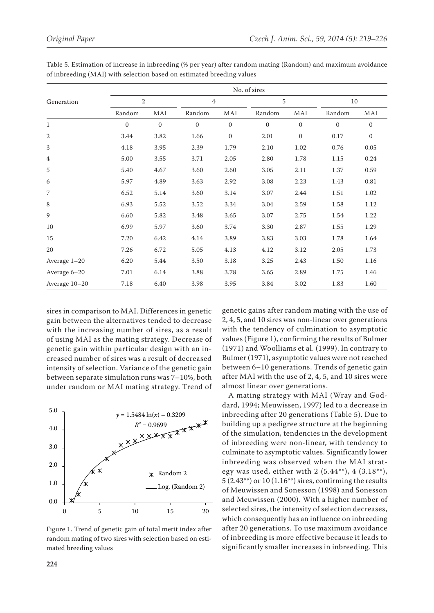|                | No. of sires |              |                |              |              |              |              |              |  |
|----------------|--------------|--------------|----------------|--------------|--------------|--------------|--------------|--------------|--|
| Generation     |              | $\sqrt{2}$   |                | 4            |              | 5            |              | 10           |  |
|                | Random       | MAI          | Random         | MAI          | Random       | MAI          | Random       | MAI          |  |
| $\mathbf{1}$   | $\Omega$     | $\mathbf{0}$ | $\overline{0}$ | $\mathbf{0}$ | $\mathbf{0}$ | $\mathbf{0}$ | $\mathbf{0}$ | $\mathbf{0}$ |  |
| $\mathbf{2}$   | 3.44         | 3.82         | 1.66           | $\mathbf{0}$ | 2.01         | $\mathbf{0}$ | 0.17         | $\mathbf{0}$ |  |
| $\sqrt{3}$     | 4.18         | 3.95         | 2.39           | 1.79         | 2.10         | 1.02         | 0.76         | 0.05         |  |
| $\overline{4}$ | 5.00         | 3.55         | 3.71           | 2.05         | 2.80         | 1.78         | 1.15         | 0.24         |  |
| $\sqrt{5}$     | 5.40         | 4.67         | 3.60           | 2.60         | 3.05         | 2.11         | 1.37         | 0.59         |  |
| 6              | 5.97         | 4.89         | 3.63           | 2.92         | 3.08         | 2.23         | 1.43         | 0.81         |  |
| $\overline{7}$ | 6.52         | 5.14         | 3.60           | 3.14         | 3.07         | 2.44         | 1.51         | 1.02         |  |
| 8              | 6.93         | 5.52         | 3.52           | 3.34         | 3.04         | 2.59         | 1.58         | 1.12         |  |
| 9              | 6.60         | 5.82         | 3.48           | 3.65         | 3.07         | 2.75         | 1.54         | 1.22         |  |
| 10             | 6.99         | 5.97         | 3.60           | 3.74         | 3.30         | 2.87         | 1.55         | 1.29         |  |
| 15             | 7.20         | 6.42         | 4.14           | 3.89         | 3.83         | 3.03         | 1.78         | 1.64         |  |
| 20             | 7.26         | 6.72         | 5.05           | 4.13         | 4.12         | 3.12         | 2.05         | 1.73         |  |
| Average 1-20   | 6.20         | 5.44         | 3.50           | 3.18         | 3.25         | 2.43         | 1.50         | 1.16         |  |
| Average 6-20   | 7.01         | 6.14         | 3.88           | 3.78         | 3.65         | 2.89         | 1.75         | 1.46         |  |
| Average 10-20  | 7.18         | 6.40         | 3.98           | 3.95         | 3.84         | 3.02         | 1.83         | 1.60         |  |

Table 5. Estimation of increase in inbreeding (% per year) after random mating (Random) and maximum avoidance of inbreeding (MAI) with selection based on estimated breeding values

sires in comparison to MAI. Differences in genetic gain between the alternatives tended to decrease with the increasing number of sires, as a result of using MAI as the mating strategy. Decrease of genetic gain within particular design with an increased number of sires was a result of decreased intensity of selection. Variance of the genetic gain between separate simulation runs was 7–10%, both under random or MAI mating strategy. Trend of



Figure 1. Trend of genetic gain of total merit index after random mating of two sires with selection based on estimated breeding values

genetic gains after random mating with the use of 2, 4, 5, and 10 sires was non-linear over generations with the tendency of culmination to asymptotic values (Figure 1), confirming the results of Bulmer (1971) and Woolliams et al. (1999). In contrary to Bulmer (1971), asymptotic values were not reached between 6–10 generations. Trends of genetic gain after MAI with the use of 2, 4, 5, and 10 sires were almost linear over generations.

A mating strategy with MAI (Wray and Goddard, 1994; Meuwissen, 1997) led to a decrease in inbreeding after 20 generations (Table 5). Due to building up a pedigree structure at the beginning of the simulation, tendencies in the development of inbreeding were non-linear, with tendency to culminate to asymptotic values. Significantly lower inbreeding was observed when the MAI strategy was used, either with 2 (5.44\*\*), 4 (3.18\*\*), 5 (2.43\*\*) or 10 (1.16\*\*) sires, confirming the results of Meuwissen and Sonesson (1998) and Sonesson and Meuwissen (2000). With a higher number of selected sires, the intensity of selection decreases, which consequently has an influence on inbreeding after 20 generations. To use maximum avoidance of inbreeding is more effective because it leads to significantly smaller increases in inbreeding. This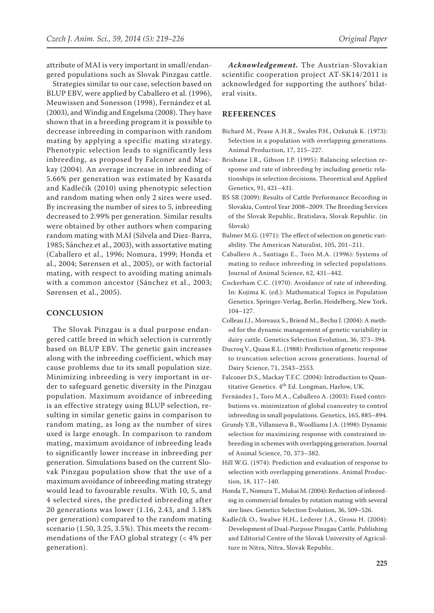attribute of MAI is very important in small/endangered populations such as Slovak Pinzgau cattle.

Strategies similar to our case, selection based on BLUP EBV, were applied by Caballero et al. (1996), Meuwissen and Sonesson (1998), Fernández et al*.* (2003), and Windig and Engelsma (2008). They have shown that in a breeding program it is possible to decrease inbreeding in comparison with random mating by applying a specific mating strategy. Phenotypic selection leads to significantly less inbreeding, as proposed by Falconer and Mackay (2004). An average increase in inbreeding of 5.66% per generation was estimated by Kasarda and Kadlečík (2010) using phenotypic selection and random mating when only 2 sires were used. By increasing the number of sires to 5, inbreeding decreased to 2.99% per generation. Similar results were obtained by other authors when comparing random mating with MAI (Silvela and Diez-Barra, 1985; Sánchez et al., 2003), with assortative mating (Caballero et al., 1996; Nomura, 1999; Honda et al., 2004; Sørensen et al., 2005), or with factorial mating, with respect to avoiding mating animals with a common ancestor (Sánchez et al., 2003; Sørensen et al., 2005).

### **CONCLUSION**

The Slovak Pinzgau is a dual purpose endangered cattle breed in which selection is currently based on BLUP EBV. The genetic gain increases along with the inbreeding coefficient, which may cause problems due to its small population size. Minimizing inbreeding is very important in order to safeguard genetic diversity in the Pinzgau population. Maximum avoidance of inbreeding is an effective strategy using BLUP selection, resulting in similar genetic gains in comparison to random mating, as long as the number of sires used is large enough. In comparison to random mating, maximum avoidance of inbreeding leads to significantly lower increase in inbreeding per generation. Simulations based on the current Slovak Pinzgau population show that the use of a maximum avoidance of inbreeding mating strategy would lead to favourable results. With 10, 5, and 4 selected sires, the predicted inbreeding after 20 generations was lower (1.16, 2.43, and 3.18% per generation) compared to the random mating scenario (1.50, 3.25, 3.5%). This meets the recommendations of the FAO global strategy (< 4% per generation).

*Acknowledgement.* The Austrian-Slovakian scientific cooperation project AT-SK14/2011 is acknowledged for supporting the authors' bilateral visits.

### **REFERENCES**

- Bichard M., Pease A.H.R., Swales P.H., Ozkutuk K. (1973): Selection in a population with overlapping generations. Animal Production, 17, 215–227.
- Brisbane J.R., Gibson J.P. (1995): Balancing selection response and rate of inbreeding by including genetic relationships in selection decisions. Theoretical and Applied Genetics, 91, 421–431.
- BS SR (2009): Results of Cattle Performance Recording in Slovakia, Control Year 2008–2009. The Breeding Services of the Slovak Republic, Bratislava, Slovak Republic. (in Slovak)
- Bulmer M.G. (1971): The effect of selection on genetic variability. The American Naturalist, 105, 201–211.
- Caballero A., Santiago E., Toro M.A. (1996): Systems of mating to reduce inbreeding in selected populations. Journal of Animal Science, 62, 431–442.
- Cockerham C.C. (1970): Avoidance of rate of inbreeding. In: Kojima K. (ed.): Mathematical Topics in Population Genetics. Springer-Verlag, Berlin, Heidelberg, New York, 104–127.
- Colleau J.J., Moreaux S., Briend M., Bechu J. (2004): A method for the dynamic management of genetic variability in dairy cattle. Genetics Selection Evolution, 36, 373–394.
- Ducroq V., Quass R.L. (1988): Prediction of genetic response to truncation selection across generations. Journal of Dairy Science, 71, 2543–2553.
- Falconer D.S., Mackay T.F.C. (2004): Introduction to Quantitative Genetics. 4<sup>th</sup> Ed. Longman, Harlow, UK.
- Fernández J., Toro M.A., Caballero A. (2003): Fixed contributions vs. minimization of global coancestry to control inbreeding in small populations. Genetics, 165, 885–894.
- Grundy Y.B., Villanueva B., Woolliams J.A. (1998): Dynamic selection for maximizing response with constrained inbreeding in schemes with overlapping generation. Journal of Animal Science, 70, 373–382.
- Hill W.G. (1974): Prediction and evaluation of response to selection with overlapping generations. Animal Production, 18, 117–140.
- Honda T., Nomura T., Mukai M. (2004): Reduction of inbreeding in commercial females by rotation mating with several sire lines. Genetics Selection Evolution, 36, 509–526.
- Kadlečík O., Swalwe H.H., Lederer J.A., Grosu H. (2004): Development of Dual-Purpose Pinzgau Cattle. Publishing and Editorial Centre of the Slovak University of Agriculture in Nitra, Nitra, Slovak Republic.